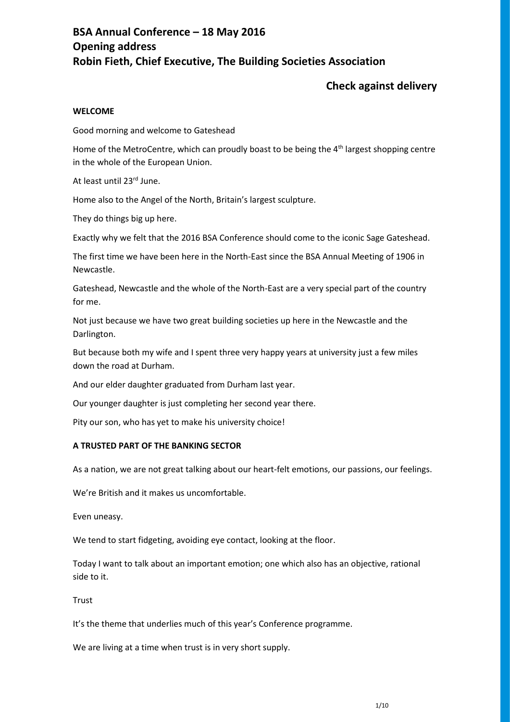# **BSA Annual Conference – 18 May 2016 Opening address Robin Fieth, Chief Executive, The Building Societies Association**

## **Check against delivery**

#### **WELCOME**

Good morning and welcome to Gateshead

Home of the MetroCentre, which can proudly boast to be being the 4<sup>th</sup> largest shopping centre in the whole of the European Union.

At least until 23rd June.

Home also to the Angel of the North, Britain's largest sculpture.

They do things big up here.

Exactly why we felt that the 2016 BSA Conference should come to the iconic Sage Gateshead.

The first time we have been here in the North-East since the BSA Annual Meeting of 1906 in Newcastle.

Gateshead, Newcastle and the whole of the North-East are a very special part of the country for me.

Not just because we have two great building societies up here in the Newcastle and the Darlington.

But because both my wife and I spent three very happy years at university just a few miles down the road at Durham.

And our elder daughter graduated from Durham last year.

Our younger daughter is just completing her second year there.

Pity our son, who has yet to make his university choice!

#### **A TRUSTED PART OF THE BANKING SECTOR**

As a nation, we are not great talking about our heart-felt emotions, our passions, our feelings.

We're British and it makes us uncomfortable.

Even uneasy.

We tend to start fidgeting, avoiding eye contact, looking at the floor.

Today I want to talk about an important emotion; one which also has an objective, rational side to it.

Trust

It's the theme that underlies much of this year's Conference programme.

We are living at a time when trust is in very short supply.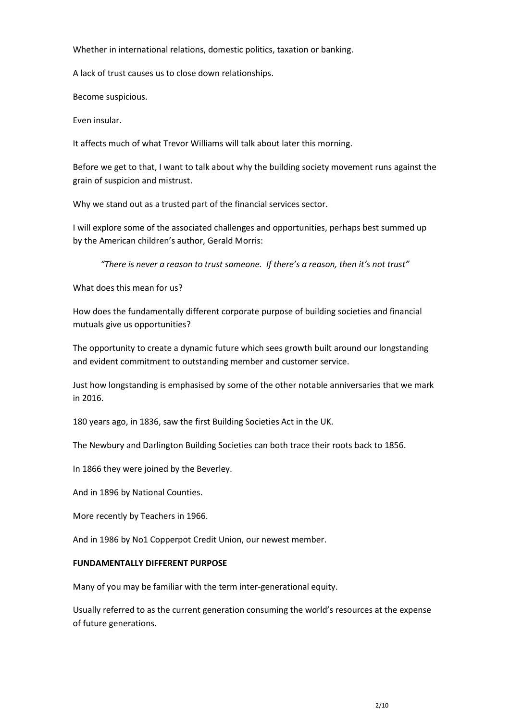Whether in international relations, domestic politics, taxation or banking.

A lack of trust causes us to close down relationships.

Become suspicious.

Even insular.

It affects much of what Trevor Williams will talk about later this morning.

Before we get to that, I want to talk about why the building society movement runs against the grain of suspicion and mistrust.

Why we stand out as a trusted part of the financial services sector.

I will explore some of the associated challenges and opportunities, perhaps best summed up by the American children's author, Gerald Morris:

*"There is never a reason to trust someone. If there's a reason, then it's not trust"*

What does this mean for us?

How does the fundamentally different corporate purpose of building societies and financial mutuals give us opportunities?

The opportunity to create a dynamic future which sees growth built around our longstanding and evident commitment to outstanding member and customer service.

Just how longstanding is emphasised by some of the other notable anniversaries that we mark in 2016.

180 years ago, in 1836, saw the first Building Societies Act in the UK.

The Newbury and Darlington Building Societies can both trace their roots back to 1856.

In 1866 they were joined by the Beverley.

And in 1896 by National Counties.

More recently by Teachers in 1966.

And in 1986 by No1 Copperpot Credit Union, our newest member.

## **FUNDAMENTALLY DIFFERENT PURPOSE**

Many of you may be familiar with the term inter-generational equity.

Usually referred to as the current generation consuming the world's resources at the expense of future generations.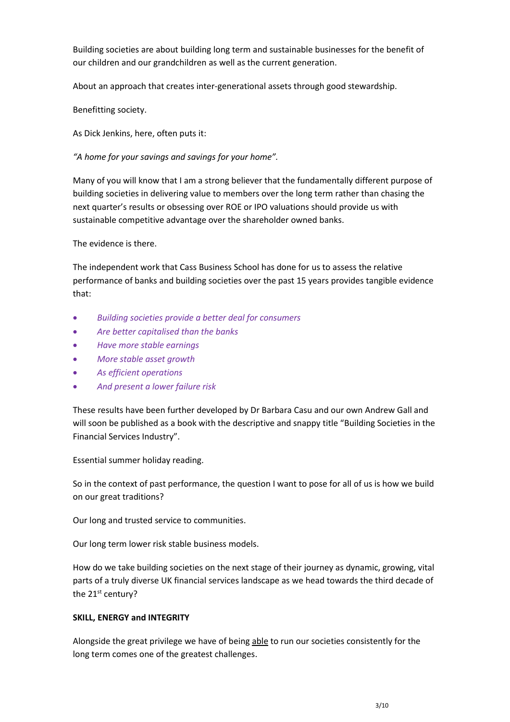Building societies are about building long term and sustainable businesses for the benefit of our children and our grandchildren as well as the current generation.

About an approach that creates inter-generational assets through good stewardship.

Benefitting society.

As Dick Jenkins, here, often puts it:

*"A home for your savings and savings for your home".*

Many of you will know that I am a strong believer that the fundamentally different purpose of building societies in delivering value to members over the long term rather than chasing the next quarter's results or obsessing over ROE or IPO valuations should provide us with sustainable competitive advantage over the shareholder owned banks.

The evidence is there.

The independent work that Cass Business School has done for us to assess the relative performance of banks and building societies over the past 15 years provides tangible evidence that:

- *Building societies provide a better deal for consumers*
- *Are better capitalised than the banks*
- *Have more stable earnings*
- *More stable asset growth*
- *As efficient operations*
- *And present a lower failure risk*

These results have been further developed by Dr Barbara Casu and our own Andrew Gall and will soon be published as a book with the descriptive and snappy title "Building Societies in the Financial Services Industry".

Essential summer holiday reading.

So in the context of past performance, the question I want to pose for all of us is how we build on our great traditions?

Our long and trusted service to communities.

Our long term lower risk stable business models.

How do we take building societies on the next stage of their journey as dynamic, growing, vital parts of a truly diverse UK financial services landscape as we head towards the third decade of the 21<sup>st</sup> century?

## **SKILL, ENERGY and INTEGRITY**

Alongside the great privilege we have of being able to run our societies consistently for the long term comes one of the greatest challenges.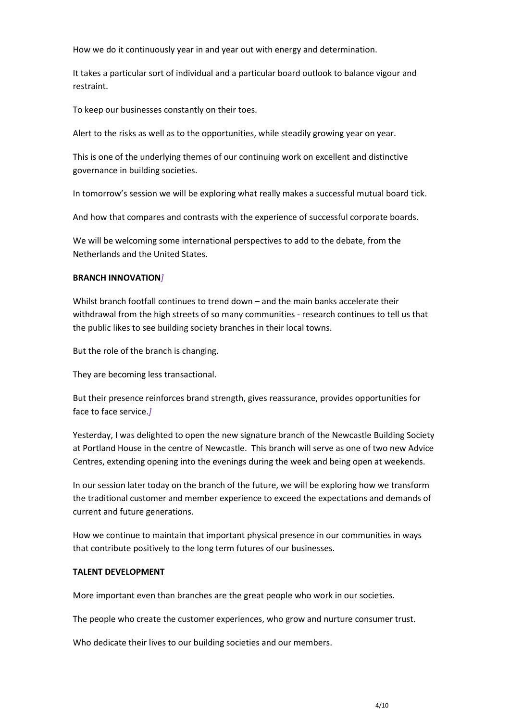How we do it continuously year in and year out with energy and determination.

It takes a particular sort of individual and a particular board outlook to balance vigour and restraint.

To keep our businesses constantly on their toes.

Alert to the risks as well as to the opportunities, while steadily growing year on year.

This is one of the underlying themes of our continuing work on excellent and distinctive governance in building societies.

In tomorrow's session we will be exploring what really makes a successful mutual board tick.

And how that compares and contrasts with the experience of successful corporate boards.

We will be welcoming some international perspectives to add to the debate, from the Netherlands and the United States.

## **BRANCH INNOVATION***]*

Whilst branch footfall continues to trend down – and the main banks accelerate their withdrawal from the high streets of so many communities - research continues to tell us that the public likes to see building society branches in their local towns.

But the role of the branch is changing.

They are becoming less transactional.

But their presence reinforces brand strength, gives reassurance, provides opportunities for face to face service.*]*

Yesterday, I was delighted to open the new signature branch of the Newcastle Building Society at Portland House in the centre of Newcastle. This branch will serve as one of two new Advice Centres, extending opening into the evenings during the week and being open at weekends.

In our session later today on the branch of the future, we will be exploring how we transform the traditional customer and member experience to exceed the expectations and demands of current and future generations.

How we continue to maintain that important physical presence in our communities in ways that contribute positively to the long term futures of our businesses.

#### **TALENT DEVELOPMENT**

More important even than branches are the great people who work in our societies.

The people who create the customer experiences, who grow and nurture consumer trust.

Who dedicate their lives to our building societies and our members.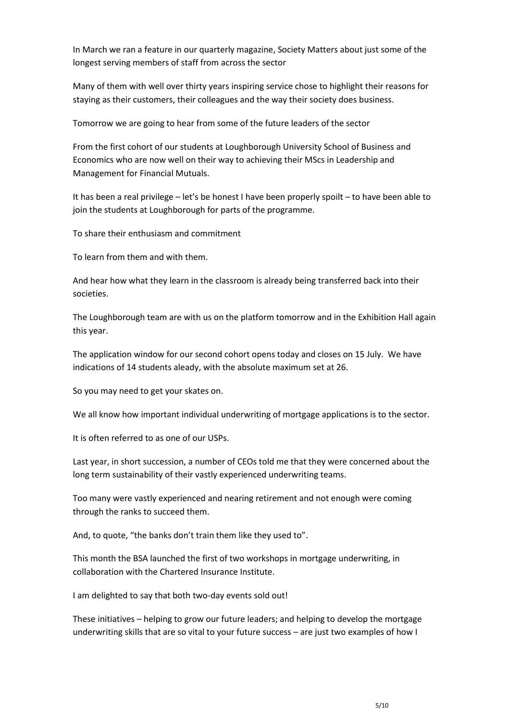In March we ran a feature in our quarterly magazine, Society Matters about just some of the longest serving members of staff from across the sector

Many of them with well over thirty years inspiring service chose to highlight their reasons for staying as their customers, their colleagues and the way their society does business.

Tomorrow we are going to hear from some of the future leaders of the sector

From the first cohort of our students at Loughborough University School of Business and Economics who are now well on their way to achieving their MScs in Leadership and Management for Financial Mutuals.

It has been a real privilege – let's be honest I have been properly spoilt – to have been able to join the students at Loughborough for parts of the programme.

To share their enthusiasm and commitment

To learn from them and with them.

And hear how what they learn in the classroom is already being transferred back into their societies.

The Loughborough team are with us on the platform tomorrow and in the Exhibition Hall again this year.

The application window for our second cohort opens today and closes on 15 July. We have indications of 14 students aleady, with the absolute maximum set at 26.

So you may need to get your skates on.

We all know how important individual underwriting of mortgage applications is to the sector.

It is often referred to as one of our USPs.

Last year, in short succession, a number of CEOs told me that they were concerned about the long term sustainability of their vastly experienced underwriting teams.

Too many were vastly experienced and nearing retirement and not enough were coming through the ranks to succeed them.

And, to quote, "the banks don't train them like they used to".

This month the BSA launched the first of two workshops in mortgage underwriting, in collaboration with the Chartered Insurance Institute.

I am delighted to say that both two-day events sold out!

These initiatives – helping to grow our future leaders; and helping to develop the mortgage underwriting skills that are so vital to your future success – are just two examples of how I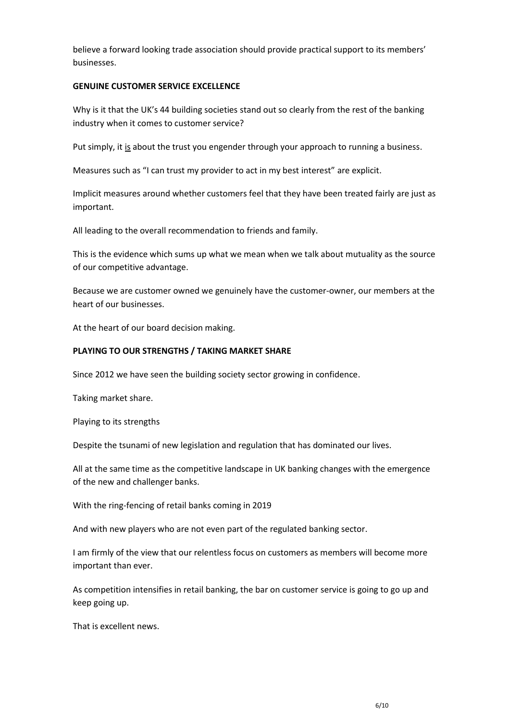believe a forward looking trade association should provide practical support to its members' businesses.

#### **GENUINE CUSTOMER SERVICE EXCELLENCE**

Why is it that the UK's 44 building societies stand out so clearly from the rest of the banking industry when it comes to customer service?

Put simply, it is about the trust you engender through your approach to running a business.

Measures such as "I can trust my provider to act in my best interest" are explicit.

Implicit measures around whether customers feel that they have been treated fairly are just as important.

All leading to the overall recommendation to friends and family.

This is the evidence which sums up what we mean when we talk about mutuality as the source of our competitive advantage.

Because we are customer owned we genuinely have the customer-owner, our members at the heart of our businesses.

At the heart of our board decision making.

#### **PLAYING TO OUR STRENGTHS / TAKING MARKET SHARE**

Since 2012 we have seen the building society sector growing in confidence.

Taking market share.

Playing to its strengths

Despite the tsunami of new legislation and regulation that has dominated our lives.

All at the same time as the competitive landscape in UK banking changes with the emergence of the new and challenger banks.

With the ring-fencing of retail banks coming in 2019

And with new players who are not even part of the regulated banking sector.

I am firmly of the view that our relentless focus on customers as members will become more important than ever.

As competition intensifies in retail banking, the bar on customer service is going to go up and keep going up.

That is excellent news.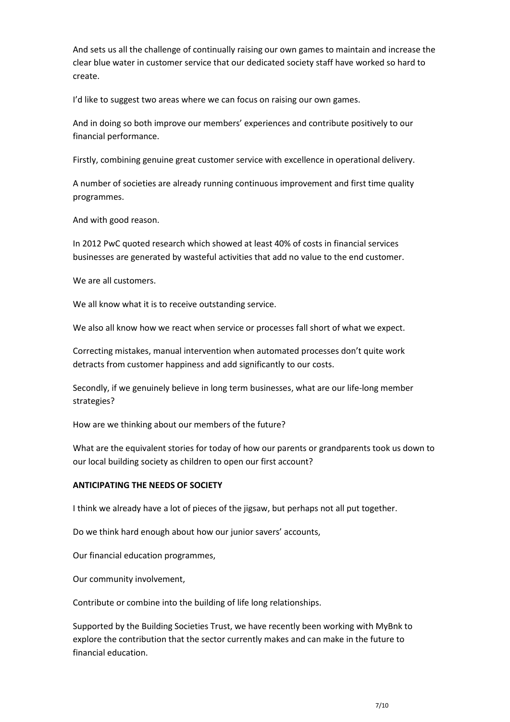And sets us all the challenge of continually raising our own games to maintain and increase the clear blue water in customer service that our dedicated society staff have worked so hard to create.

I'd like to suggest two areas where we can focus on raising our own games.

And in doing so both improve our members' experiences and contribute positively to our financial performance.

Firstly, combining genuine great customer service with excellence in operational delivery.

A number of societies are already running continuous improvement and first time quality programmes.

And with good reason.

In 2012 PwC quoted research which showed at least 40% of costs in financial services businesses are generated by wasteful activities that add no value to the end customer.

We are all customers.

We all know what it is to receive outstanding service.

We also all know how we react when service or processes fall short of what we expect.

Correcting mistakes, manual intervention when automated processes don't quite work detracts from customer happiness and add significantly to our costs.

Secondly, if we genuinely believe in long term businesses, what are our life-long member strategies?

How are we thinking about our members of the future?

What are the equivalent stories for today of how our parents or grandparents took us down to our local building society as children to open our first account?

## **ANTICIPATING THE NEEDS OF SOCIETY**

I think we already have a lot of pieces of the jigsaw, but perhaps not all put together.

Do we think hard enough about how our junior savers' accounts,

Our financial education programmes,

Our community involvement,

Contribute or combine into the building of life long relationships.

Supported by the Building Societies Trust, we have recently been working with MyBnk to explore the contribution that the sector currently makes and can make in the future to financial education.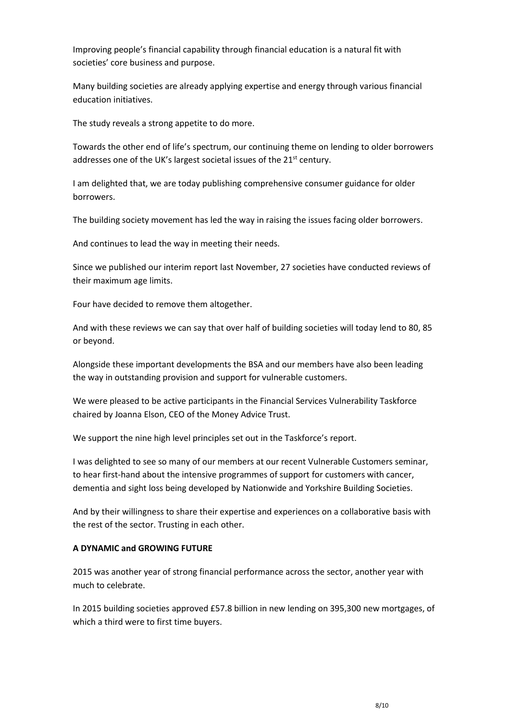Improving people's financial capability through financial education is a natural fit with societies' core business and purpose.

Many building societies are already applying expertise and energy through various financial education initiatives.

The study reveals a strong appetite to do more.

Towards the other end of life's spectrum, our continuing theme on lending to older borrowers addresses one of the UK's largest societal issues of the 21<sup>st</sup> century.

I am delighted that, we are today publishing comprehensive consumer guidance for older borrowers.

The building society movement has led the way in raising the issues facing older borrowers.

And continues to lead the way in meeting their needs.

Since we published our interim report last November, 27 societies have conducted reviews of their maximum age limits.

Four have decided to remove them altogether.

And with these reviews we can say that over half of building societies will today lend to 80, 85 or beyond.

Alongside these important developments the BSA and our members have also been leading the way in outstanding provision and support for vulnerable customers.

We were pleased to be active participants in the Financial Services Vulnerability Taskforce chaired by Joanna Elson, CEO of the Money Advice Trust.

We support the nine high level principles set out in the Taskforce's report.

I was delighted to see so many of our members at our recent Vulnerable Customers seminar, to hear first-hand about the intensive programmes of support for customers with cancer, dementia and sight loss being developed by Nationwide and Yorkshire Building Societies.

And by their willingness to share their expertise and experiences on a collaborative basis with the rest of the sector. Trusting in each other.

## **A DYNAMIC and GROWING FUTURE**

2015 was another year of strong financial performance across the sector, another year with much to celebrate.

In 2015 building societies approved £57.8 billion in new lending on 395,300 new mortgages, of which a third were to first time buyers.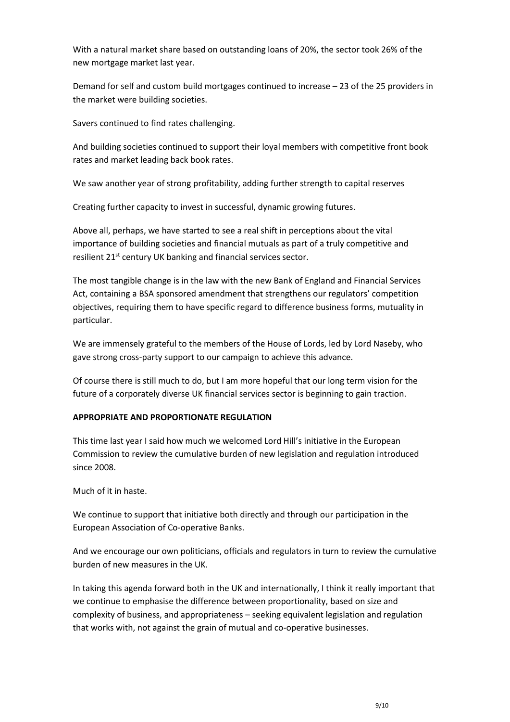With a natural market share based on outstanding loans of 20%, the sector took 26% of the new mortgage market last year.

Demand for self and custom build mortgages continued to increase – 23 of the 25 providers in the market were building societies.

Savers continued to find rates challenging.

And building societies continued to support their loyal members with competitive front book rates and market leading back book rates.

We saw another year of strong profitability, adding further strength to capital reserves

Creating further capacity to invest in successful, dynamic growing futures.

Above all, perhaps, we have started to see a real shift in perceptions about the vital importance of building societies and financial mutuals as part of a truly competitive and resilient 21<sup>st</sup> century UK banking and financial services sector.

The most tangible change is in the law with the new Bank of England and Financial Services Act, containing a BSA sponsored amendment that strengthens our regulators' competition objectives, requiring them to have specific regard to difference business forms, mutuality in particular.

We are immensely grateful to the members of the House of Lords, led by Lord Naseby, who gave strong cross-party support to our campaign to achieve this advance.

Of course there is still much to do, but I am more hopeful that our long term vision for the future of a corporately diverse UK financial services sector is beginning to gain traction.

#### **APPROPRIATE AND PROPORTIONATE REGULATION**

This time last year I said how much we welcomed Lord Hill's initiative in the European Commission to review the cumulative burden of new legislation and regulation introduced since 2008.

Much of it in haste.

We continue to support that initiative both directly and through our participation in the European Association of Co-operative Banks.

And we encourage our own politicians, officials and regulators in turn to review the cumulative burden of new measures in the UK.

In taking this agenda forward both in the UK and internationally, I think it really important that we continue to emphasise the difference between proportionality, based on size and complexity of business, and appropriateness – seeking equivalent legislation and regulation that works with, not against the grain of mutual and co-operative businesses.